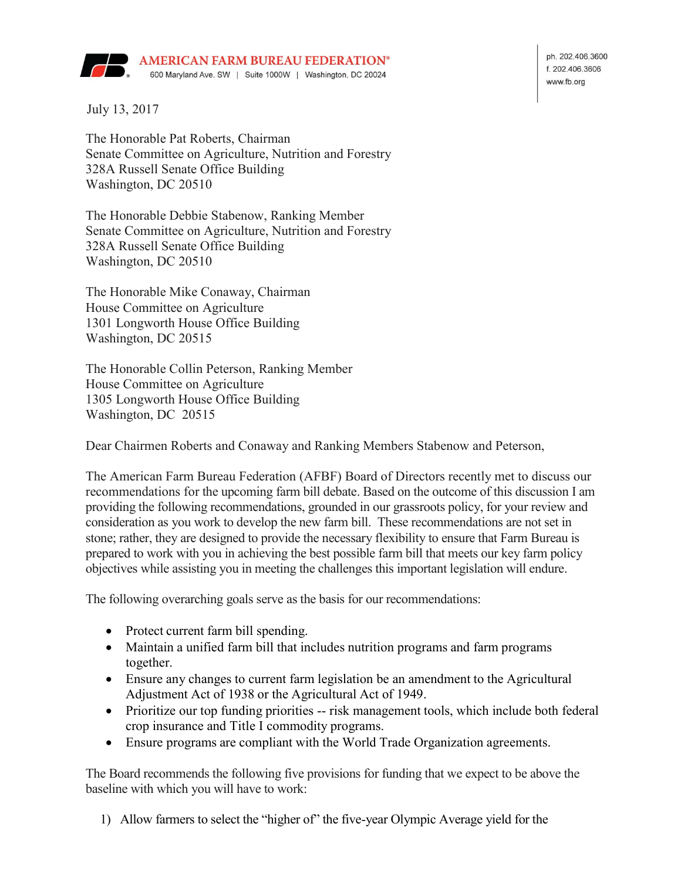

ph. 202.406.3600 f. 202.406.3606 www.fb.org

July 13, 2017

The Honorable Pat Roberts, Chairman Senate Committee on Agriculture, Nutrition and Forestry 328A Russell Senate Office Building Washington, DC 20510

The Honorable Debbie Stabenow, Ranking Member Senate Committee on Agriculture, Nutrition and Forestry 328A Russell Senate Office Building Washington, DC 20510

The Honorable Mike Conaway, Chairman House Committee on Agriculture 1301 Longworth House Office Building Washington, DC 20515

The Honorable Collin Peterson, Ranking Member House Committee on Agriculture 1305 Longworth House Office Building Washington, DC 20515

Dear Chairmen Roberts and Conaway and Ranking Members Stabenow and Peterson,

The American Farm Bureau Federation (AFBF) Board of Directors recently met to discuss our recommendations for the upcoming farm bill debate. Based on the outcome of this discussion I am providing the following recommendations, grounded in our grassroots policy, for your review and consideration as you work to develop the new farm bill. These recommendations are not set in stone; rather, they are designed to provide the necessary flexibility to ensure that Farm Bureau is prepared to work with you in achieving the best possible farm bill that meets our key farm policy objectives while assisting you in meeting the challenges this important legislation will endure.

The following overarching goals serve as the basis for our recommendations:

- Protect current farm bill spending.
- Maintain a unified farm bill that includes nutrition programs and farm programs together.
- Ensure any changes to current farm legislation be an amendment to the Agricultural Adjustment Act of 1938 or the Agricultural Act of 1949.
- Prioritize our top funding priorities -- risk management tools, which include both federal crop insurance and Title I commodity programs.
- Ensure programs are compliant with the World Trade Organization agreements.

The Board recommends the following five provisions for funding that we expect to be above the baseline with which you will have to work:

1) Allow farmers to select the "higher of" the five-year Olympic Average yield for the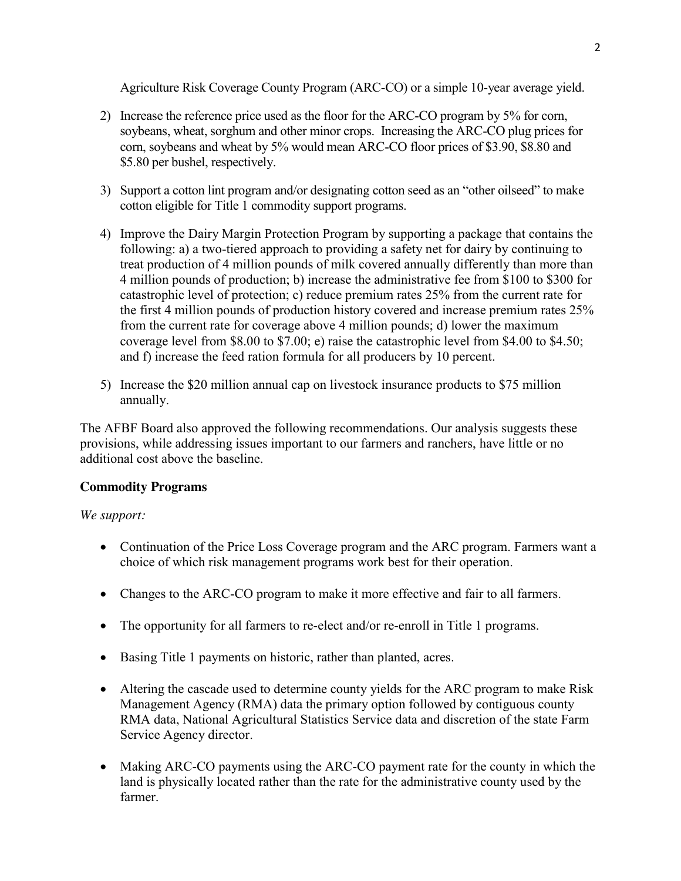Agriculture Risk Coverage County Program (ARC-CO) or a simple 10-year average yield.

- 2) Increase the reference price used as the floor for the ARC-CO program by 5% for corn, soybeans, wheat, sorghum and other minor crops. Increasing the ARC-CO plug prices for corn, soybeans and wheat by 5% would mean ARC-CO floor prices of \$3.90, \$8.80 and \$5.80 per bushel, respectively.
- 3) Support a cotton lint program and/or designating cotton seed as an "other oilseed" to make cotton eligible for Title 1 commodity support programs.
- 4) Improve the Dairy Margin Protection Program by supporting a package that contains the following: a) a two-tiered approach to providing a safety net for dairy by continuing to treat production of 4 million pounds of milk covered annually differently than more than 4 million pounds of production; b) increase the administrative fee from \$100 to \$300 for catastrophic level of protection; c) reduce premium rates 25% from the current rate for the first 4 million pounds of production history covered and increase premium rates 25% from the current rate for coverage above 4 million pounds; d) lower the maximum coverage level from \$8.00 to \$7.00; e) raise the catastrophic level from \$4.00 to \$4.50; and f) increase the feed ration formula for all producers by 10 percent.
- 5) Increase the \$20 million annual cap on livestock insurance products to \$75 million annually.

The AFBF Board also approved the following recommendations. Our analysis suggests these provisions, while addressing issues important to our farmers and ranchers, have little or no additional cost above the baseline.

### **Commodity Programs**

- Continuation of the Price Loss Coverage program and the ARC program. Farmers want a choice of which risk management programs work best for their operation.
- Changes to the ARC-CO program to make it more effective and fair to all farmers.
- The opportunity for all farmers to re-elect and/or re-enroll in Title 1 programs.
- Basing Title 1 payments on historic, rather than planted, acres.
- Altering the cascade used to determine county yields for the ARC program to make Risk Management Agency (RMA) data the primary option followed by contiguous county RMA data, National Agricultural Statistics Service data and discretion of the state Farm Service Agency director.
- Making ARC-CO payments using the ARC-CO payment rate for the county in which the land is physically located rather than the rate for the administrative county used by the farmer.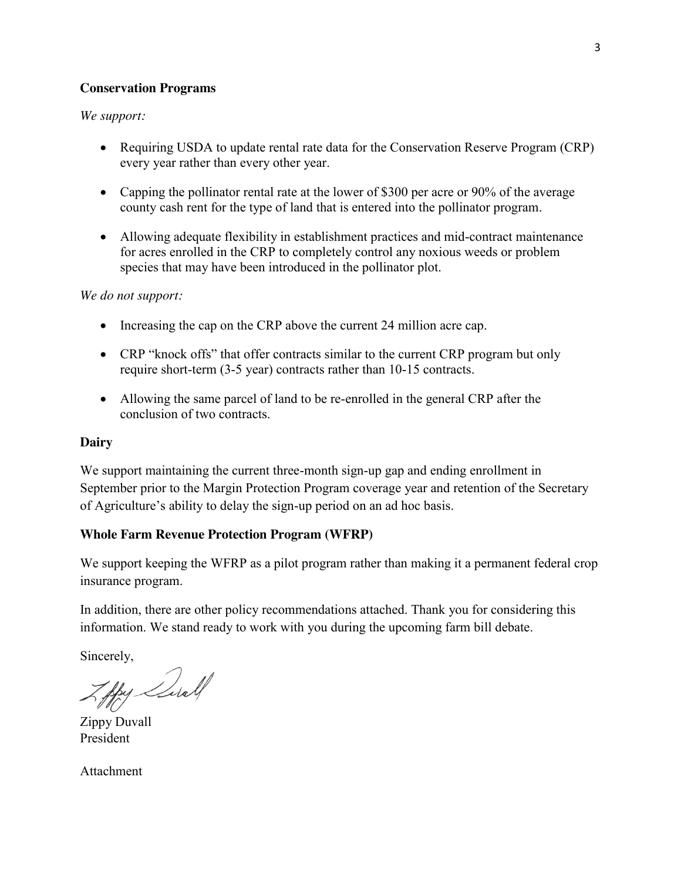#### **Conservation Programs**

#### *We support:*

- Requiring USDA to update rental rate data for the Conservation Reserve Program (CRP) every year rather than every other year.
- Capping the pollinator rental rate at the lower of \$300 per acre or 90% of the average county cash rent for the type of land that is entered into the pollinator program.
- Allowing adequate flexibility in establishment practices and mid-contract maintenance for acres enrolled in the CRP to completely control any noxious weeds or problem species that may have been introduced in the pollinator plot.

#### *We do not support:*

- $\bullet$  Increasing the cap on the CRP above the current 24 million acre cap.
- CRP "knock offs" that offer contracts similar to the current CRP program but only require short-term (3-5 year) contracts rather than 10-15 contracts.
- Allowing the same parcel of land to be re-enrolled in the general CRP after the conclusion of two contracts.

#### **Dairy**

We support maintaining the current three-month sign-up gap and ending enrollment in September prior to the Margin Protection Program coverage year and retention of the Secretary of Agriculture's ability to delay the sign-up period on an ad hoc basis.

### **Whole Farm Revenue Protection Program (WFRP)**

We support keeping the WFRP as a pilot program rather than making it a permanent federal crop insurance program.

In addition, there are other policy recommendations attached. Thank you for considering this information. We stand ready to work with you during the upcoming farm bill debate.

Sincerely,

Aby Suall

Zippy Duvall President

Attachment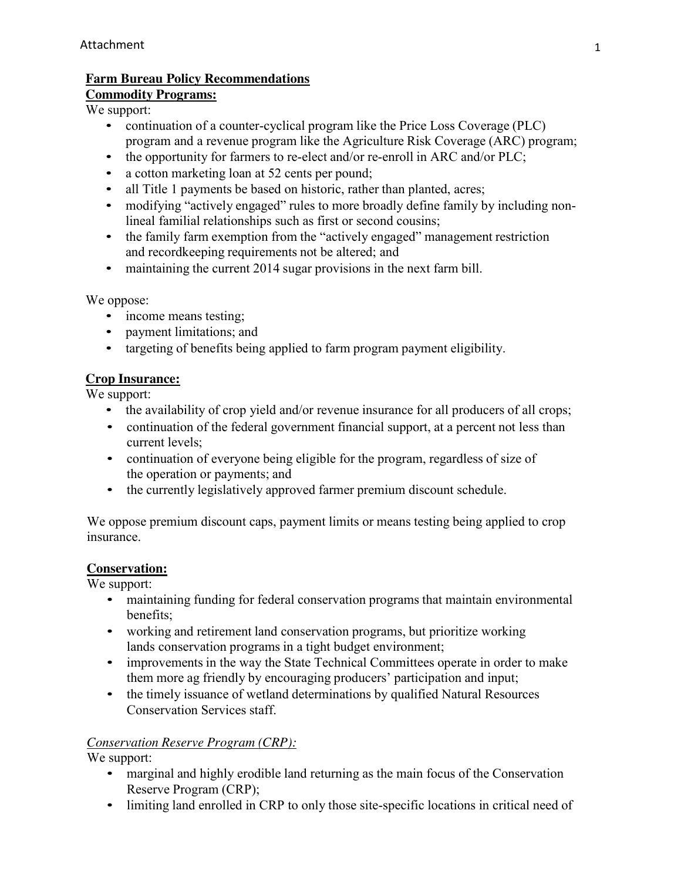# **Farm Bureau Policy Recommendations**

## **Commodity Programs:**

We support:

- continuation of a counter-cyclical program like the Price Loss Coverage (PLC) program and a revenue program like the Agriculture Risk Coverage (ARC) program;
- the opportunity for farmers to re-elect and/or re-enroll in ARC and/or PLC;
- a cotton marketing loan at 52 cents per pound;
- all Title 1 payments be based on historic, rather than planted, acres;
- modifying "actively engaged" rules to more broadly define family by including nonlineal familial relationships such as first or second cousins;
- the family farm exemption from the "actively engaged" management restriction and recordkeeping requirements not be altered; and
- maintaining the current 2014 sugar provisions in the next farm bill.

We oppose:

- income means testing;
- payment limitations; and
- targeting of benefits being applied to farm program payment eligibility.

## **Crop Insurance:**

We support:

- the availability of crop yield and/or revenue insurance for all producers of all crops;
- continuation of the federal government financial support, at a percent not less than current levels;
- continuation of everyone being eligible for the program, regardless of size of the operation or payments; and
- the currently legislatively approved farmer premium discount schedule.

We oppose premium discount caps, payment limits or means testing being applied to crop insurance.

# **Conservation:**

We support:

- maintaining funding for federal conservation programs that maintain environmental benefits;
- working and retirement land conservation programs, but prioritize working lands conservation programs in a tight budget environment;
- improvements in the way the State Technical Committees operate in order to make them more ag friendly by encouraging producers' participation and input;
- the timely issuance of wetland determinations by qualified Natural Resources Conservation Services staff.

## *Conservation Reserve Program (CRP):*

- marginal and highly erodible land returning as the main focus of the Conservation Reserve Program (CRP);
- limiting land enrolled in CRP to only those site-specific locations in critical need of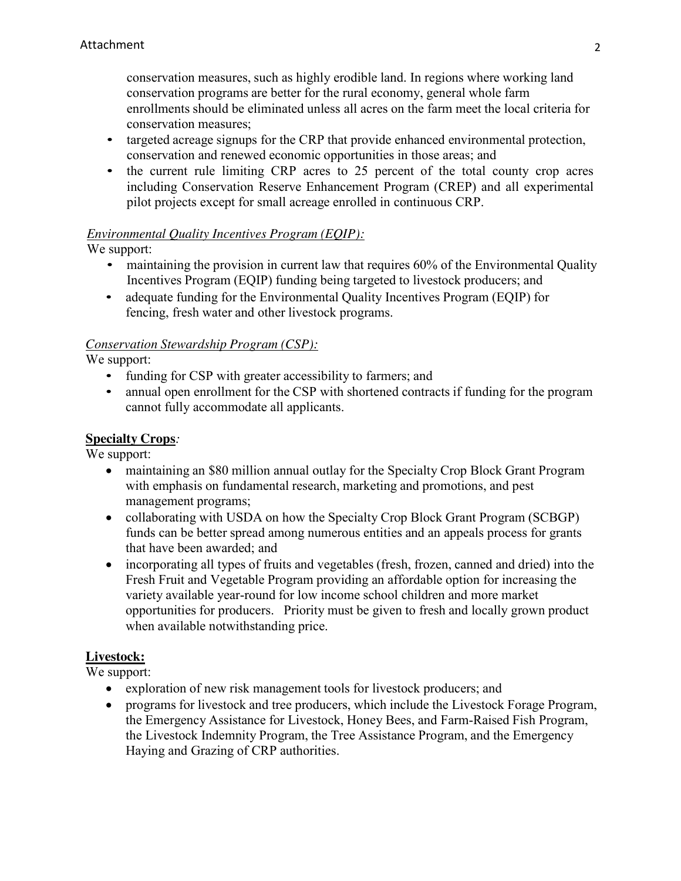conservation measures, such as highly erodible land. In regions where working land conservation programs are better for the rural economy, general whole farm enrollments should be eliminated unless all acres on the farm meet the local criteria for conservation measures;

- targeted acreage signups for the CRP that provide enhanced environmental protection, conservation and renewed economic opportunities in those areas; and
- the current rule limiting CRP acres to 25 percent of the total county crop acres including Conservation Reserve Enhancement Program (CREP) and all experimental pilot projects except for small acreage enrolled in continuous CRP.

## *Environmental Quality Incentives Program (EQIP):*

We support:

- maintaining the provision in current law that requires 60% of the Environmental Quality Incentives Program (EQIP) funding being targeted to livestock producers; and
- adequate funding for the Environmental Quality Incentives Program (EQIP) for fencing, fresh water and other livestock programs.

### *Conservation Stewardship Program (CSP):*

We support:

- funding for CSP with greater accessibility to farmers; and
- annual open enrollment for the CSP with shortened contracts if funding for the program cannot fully accommodate all applicants.

### **Specialty Crops***:*

We support:

- maintaining an \$80 million annual outlay for the Specialty Crop Block Grant Program with emphasis on fundamental research, marketing and promotions, and pest management programs;
- collaborating with USDA on how the Specialty Crop Block Grant Program (SCBGP) funds can be better spread among numerous entities and an appeals process for grants that have been awarded; and
- incorporating all types of fruits and vegetables (fresh, frozen, canned and dried) into the Fresh Fruit and Vegetable Program providing an affordable option for increasing the variety available year-round for low income school children and more market opportunities for producers. Priority must be given to fresh and locally grown product when available notwithstanding price.

### **Livestock:**

- exploration of new risk management tools for livestock producers; and
- programs for livestock and tree producers, which include the Livestock Forage Program, the Emergency Assistance for Livestock, Honey Bees, and Farm-Raised Fish Program, the Livestock Indemnity Program, the Tree Assistance Program, and the Emergency Haying and Grazing of CRP authorities.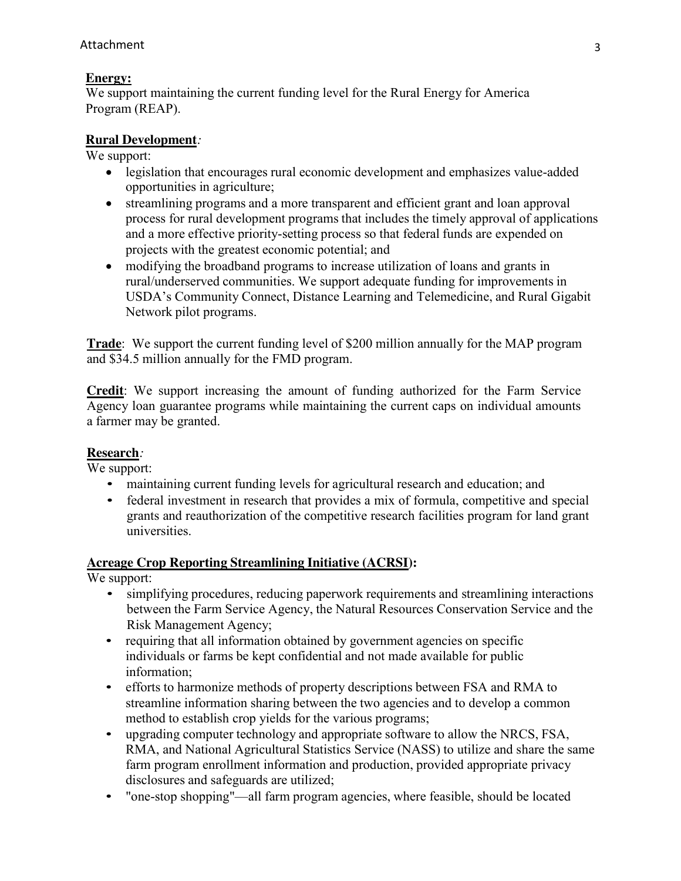## **Energy:**

We support maintaining the current funding level for the Rural Energy for America Program (REAP).

### **Rural Development***:*

We support:

- legislation that encourages rural economic development and emphasizes value-added opportunities in agriculture;
- streamlining programs and a more transparent and efficient grant and loan approval process for rural development programs that includes the timely approval of applications and a more effective priority-setting process so that federal funds are expended on projects with the greatest economic potential; and
- modifying the broadband programs to increase utilization of loans and grants in rural/underserved communities. We support adequate funding for improvements in USDA's Community Connect, Distance Learning and Telemedicine, and Rural Gigabit Network pilot programs.

**Trade**: We support the current funding level of \$200 million annually for the MAP program and \$34.5 million annually for the FMD program.

**Credit**: We support increasing the amount of funding authorized for the Farm Service Agency loan guarantee programs while maintaining the current caps on individual amounts a farmer may be granted.

### **Research***:*

We support:

- maintaining current funding levels for agricultural research and education; and
- federal investment in research that provides a mix of formula, competitive and special grants and reauthorization of the competitive research facilities program for land grant universities.

### **Acreage Crop Reporting Streamlining Initiative (ACRSI):**

- simplifying procedures, reducing paperwork requirements and streamlining interactions between the Farm Service Agency, the Natural Resources Conservation Service and the Risk Management Agency;
- requiring that all information obtained by government agencies on specific individuals or farms be kept confidential and not made available for public information;
- efforts to harmonize methods of property descriptions between FSA and RMA to streamline information sharing between the two agencies and to develop a common method to establish crop yields for the various programs;
- upgrading computer technology and appropriate software to allow the NRCS, FSA, RMA, and National Agricultural Statistics Service (NASS) to utilize and share the same farm program enrollment information and production, provided appropriate privacy disclosures and safeguards are utilized;
- "one-stop shopping"—all farm program agencies, where feasible, should be located